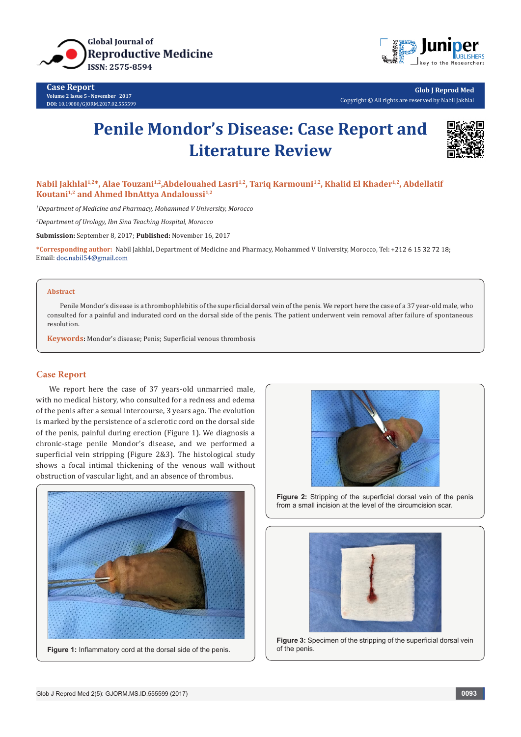

**Case Report Volume 2 Issue 5 - November 2017 DOI:** [10.19080/GJORM.2017.02.5555](http://dx.doi.org/10.19080/GJORM.2017.02.555599)99



**Glob J Reprod Med** Copyright © All rights are reserved by Nabil Jakhlal

# **Penile Mondor's Disease: Case Report and Literature Review**



Nabil Jakhlal<sup>1,2\*</sup>, Alae Touzani<sup>1,2</sup>, Abdelouahed Lasri<sup>1,2</sup>, Tariq Karmouni<sup>1,2</sup>, Khalid El Khader<sup>1,2</sup>, Abdellatif Koutani<sup>1,2</sup> and Ahmed IbnAttya Andaloussi<sup>1,2</sup>

*1 Department of Medicine and Pharmacy, Mohammed V University, Morocco*

*2 Department of Urology, Ibn Sina Teaching Hospital, Morocco*

**Submission:** September 8, 2017; **Published:** November 16, 2017

**\*Corresponding author:** Nabil Jakhlal, Department of Medicine and Pharmacy, Mohammed V University, Morocco, Tel: Email: doc.nabil54@gmail.com

## **Abstract**

Penile Mondor's disease is a thrombophlebitis of the superficial dorsal vein of the penis. We report here the case of a 37 year-old male, who consulted for a painful and indurated cord on the dorsal side of the penis. The patient underwent vein removal after failure of spontaneous resolution.

**Keywords:** Mondor's disease; Penis; Superficial venous thrombosis

# **Case Report**

We report here the case of 37 years-old unmarried male, with no medical history, who consulted for a redness and edema of the penis after a sexual intercourse, 3 years ago. The evolution is marked by the persistence of a sclerotic cord on the dorsal side of the penis, painful during erection (Figure 1). We diagnosis a chronic-stage penile Mondor's disease, and we performed a superficial vein stripping (Figure 2&3). The histological study shows a focal intimal thickening of the venous wall without obstruction of vascular light, and an absence of thrombus.



**Figure 2:** Stripping of the superficial dorsal vein of the penis from a small incision at the level of the circumcision scar.



**Figure 3:** Specimen of the stripping of the superficial dorsal vein of the penis.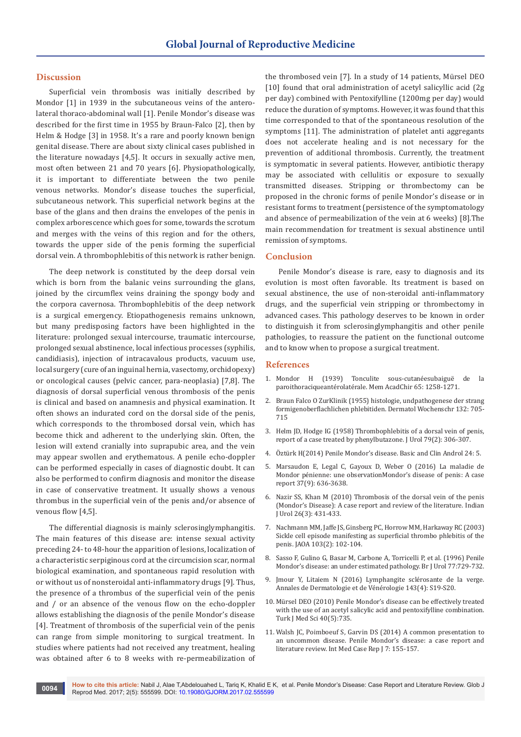# **Discussion**

Superficial vein thrombosis was initially described by Mondor [1] in 1939 in the subcutaneous veins of the anterolateral thoraco-abdominal wall [1]. Penile Mondor's disease was described for the first time in 1955 by Braun-Falco [2], then by Helm & Hodge [3] in 1958. It's a rare and poorly known benign genital disease. There are about sixty clinical cases published in the literature nowadays [4,5]. It occurs in sexually active men, most often between 21 and 70 years [6]. Physiopathologically, it is important to differentiate between the two penile venous networks. Mondor's disease touches the superficial, subcutaneous network. This superficial network begins at the base of the glans and then drains the envelopes of the penis in complex arborescence which goes for some, towards the scrotum and merges with the veins of this region and for the others, towards the upper side of the penis forming the superficial dorsal vein. A thrombophlebitis of this network is rather benign.

The deep network is constituted by the deep dorsal vein which is born from the balanic veins surrounding the glans, joined by the circumflex veins draining the spongy body and the corpora cavernosa. Thrombophlebitis of the deep network is a surgical emergency. Etiopathogenesis remains unknown, but many predisposing factors have been highlighted in the literature: prolonged sexual intercourse, traumatic intercourse, prolonged sexual abstinence, local infectious processes (syphilis, candidiasis), injection of intracavalous products, vacuum use, local surgery (cure of an inguinal hernia, vasectomy, orchidopexy) or oncological causes (pelvic cancer, para-neoplasia) [7,8]. The diagnosis of dorsal superficial venous thrombosis of the penis is clinical and based on anamnesis and physical examination. It often shows an indurated cord on the dorsal side of the penis, which corresponds to the thrombosed dorsal vein, which has become thick and adherent to the underlying skin. Often, the lesion will extend cranially into suprapubic area, and the vein may appear swollen and erythematous. A penile echo-doppler can be performed especially in cases of diagnostic doubt. It can also be performed to confirm diagnosis and monitor the disease in case of conservative treatment. It usually shows a venous thrombus in the superficial vein of the penis and/or absence of venous flow [4,5].

The differential diagnosis is mainly sclerosinglymphangitis. The main features of this disease are: intense sexual activity preceding 24- to 48-hour the apparition of lesions, localization of a characteristic serpiginous cord at the circumcision scar, normal biological examination, and spontaneous rapid resolution with or without us of nonsteroidal anti-inflammatory drugs [9]. Thus, the presence of a thrombus of the superficial vein of the penis and / or an absence of the venous flow on the echo-doppler allows establishing the diagnosis of the penile Mondor's disease [4]. Treatment of thrombosis of the superficial vein of the penis can range from simple monitoring to surgical treatment. In studies where patients had not received any treatment, healing was obtained after 6 to 8 weeks with re-permeabilization of the thrombosed vein [7]. In a study of 14 patients, Mürsel DEO [10] found that oral administration of acetyl salicyllic acid (2g per day) combined with Pentoxifylline (1200mg per day) would reduce the duration of symptoms. However, it was found that this time corresponded to that of the spontaneous resolution of the symptoms [11]. The administration of platelet anti aggregants does not accelerate healing and is not necessary for the prevention of additional thrombosis. Currently, the treatment is symptomatic in several patients. However, antibiotic therapy may be associated with cellulitis or exposure to sexually transmitted diseases. Stripping or thrombectomy can be proposed in the chronic forms of penile Mondor's disease or in resistant forms to treatment (persistence of the symptomatology and absence of permeabilization of the vein at 6 weeks) [8].The main recommendation for treatment is sexual abstinence until remission of symptoms.

# **Conclusion**

Penile Mondor's disease is rare, easy to diagnosis and its evolution is most often favorable. Its treatment is based on sexual abstinence, the use of non-steroidal anti-inflammatory drugs, and the superficial vein stripping or thrombectomy in advanced cases. This pathology deserves to be known in order to distinguish it from sclerosinglymphangitis and other penile pathologies, to reassure the patient on the functional outcome and to know when to propose a surgical treatment.

## **References**

- 1. Mondor H (1939) Tonculite sous-cutanéesubaiguë de la paroithoraciqueantérolatérale. Mem AcadChir 65: 1258-1271.
- 2. Braun Falco O ZurKlinik (1955) histologie, undpathogenese der strang formigenoberflachlichen phlebitiden. Dermatol Wochenschr 132: 705- 715
- 3. [Helm JD, Hodge IG \(1958\) Thrombophlebitis of a dorsal vein of penis,](https://www.ncbi.nlm.nih.gov/pubmed/13514882)  [report of a case treated by phenylbutazone. J Urol 79\(2\): 306-307.](https://www.ncbi.nlm.nih.gov/pubmed/13514882)
- 4. [Öztürk H\(2014\) Penile Mondor's disease. Basic and Clin Androl 24: 5.](https://www.ncbi.nlm.nih.gov/pubmed/25780580/)
- 5. [Marsaudon E, Legal C, Gayoux D, Weber O \(2016\) La maladie de](http://www.sciencedirect.com/science/article/pii/S0248866315011108)  [Mondor pénienne: une observationMondor's disease of penis: A case](http://www.sciencedirect.com/science/article/pii/S0248866315011108)  [report 37\(9\): 636-3638.](http://www.sciencedirect.com/science/article/pii/S0248866315011108)
- 6. [Nazir SS, Khan M \(2010\) Thrombosis of the dorsal vein of the penis](https://www.ncbi.nlm.nih.gov/pubmed/21116369)  [\(Mondor's Disease\): A case report and review of the literature. Indian](https://www.ncbi.nlm.nih.gov/pubmed/21116369)  [J Urol 26\(3\): 431-433.](https://www.ncbi.nlm.nih.gov/pubmed/21116369)
- 7. [Nachmann MM, Jaffe JS, Ginsberg PC, Horrow MM, Harkaway RC \(2003\)](https://www.ncbi.nlm.nih.gov/pubmed/12622355)  [Sickle cell episode manifesting as superficial thrombo phlebitis of the](https://www.ncbi.nlm.nih.gov/pubmed/12622355)  [penis. JAOA 103\(2\): 102-104.](https://www.ncbi.nlm.nih.gov/pubmed/12622355)
- 8. [Sasso F, Gulino G, Basar M, Carbone A, Torricelli P, et al. \(1996\) Penile](http://onlinelibrary.wiley.com/doi/10.1046/j.1464-410X.1996.97520.x/abstract)  [Mondor's disease: an under estimated pathology. Br J Urol 77:729-732.](http://onlinelibrary.wiley.com/doi/10.1046/j.1464-410X.1996.97520.x/abstract)
- 9. Jmour Y, Litaiem N (2016) Lymphangite sclérosante de la verge. Annales de Dermatologie et de Vénérologie 143(4): S19-S20.
- 10. Mürsel DEO (2010) Penile Mondor's disease can be effectively treated with the use of an acetyl salicylic acid and pentoxifylline combination. Turk J Med Sci 40(5):735.
- 11. [Walsh JC, Poimboeuf S, Garvin DS \(2014\) A common presentation to](https://www.ncbi.nlm.nih.gov/pubmed/25382986)  [an uncommon disease. Penile Mondor's disease: a case report and](https://www.ncbi.nlm.nih.gov/pubmed/25382986)  [literature review. Int Med Case Rep J 7: 155-157.](https://www.ncbi.nlm.nih.gov/pubmed/25382986)